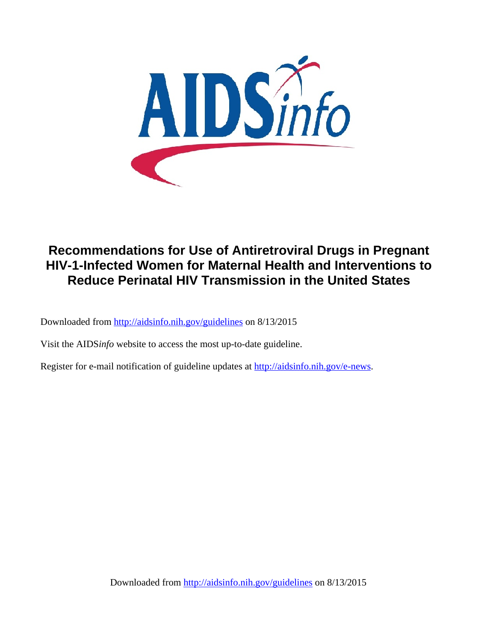

# **Recommendations for Use of Antiretroviral Drugs in Pregnant HIV-1-Infected Women for Maternal Health and Interventions to Reduce Perinatal HIV Transmission in the United States**

Downloaded from http://aidsinfo.nih.gov/guidelines on 8/13/2015

Visit the AIDS*info* website to access the most up-to-date guideline.

Register for e-mail notification of guideline updates at http://aidsinfo.nih.gov/e-news.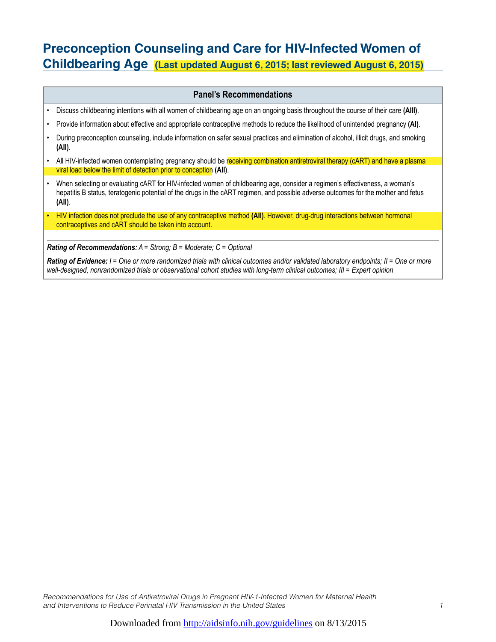# **Preconception Counseling and Care for HIV-Infected Women of Childbearing Age (Last updated August 6, 2015; last reviewed August 6, 2015)**

### **Panel's Recommendations**

- Discuss childbearing intentions with all women of childbearing age on an ongoing basis throughout the course of their care **(AIII)**.
- Provide information about effective and appropriate contraceptive methods to reduce the likelihood of unintended pregnancy **(AI)**.
- During preconception counseling, include information on safer sexual practices and elimination of alcohol, illicit drugs, and smoking **(AII)**.
- All HIV-infected women contemplating pregnancy should be receiving combination antiretroviral therapy (cART) and have a plasma viral load below the limit of detection prior to conception **(AII)**.
- When selecting or evaluating cART for HIV-infected women of childbearing age, consider a regimen's effectiveness, a woman's hepatitis B status, teratogenic potential of the drugs in the cART regimen, and possible adverse outcomes for the mother and fetus **(AII)**.
- HIV infection does not preclude the use of any contraceptive method **(AII)**. However, drug-drug interactions between hormonal contraceptives and cART should be taken into account.

*Rating of Recommendations: A = Strong; B = Moderate; C = Optional*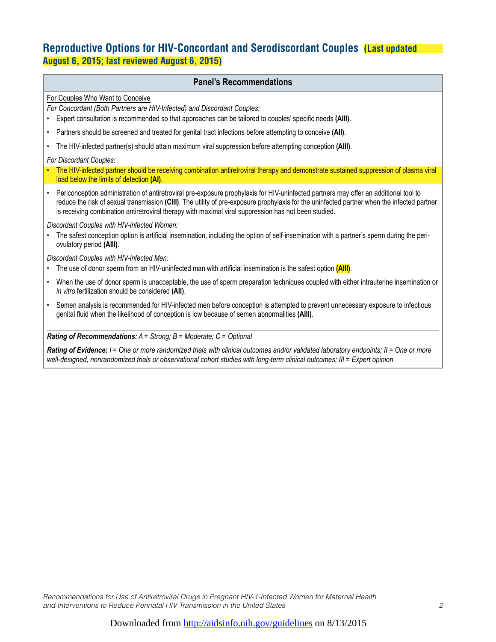# **Reproductive Options for HIV-Concordant and Serodiscordant Couples (Last updated August 6, 2015; last reviewed August 6, 2015)**

#### **Panel's Recommendations**

#### For Couples Who Want to Conceive

*For Concordant (Both Partners are HIV-Infected) and Discordant Couples:*

- Expert consultation is recommended so that approaches can be tailored to couples' specific needs **(AIII)**.
- Partners should be screened and treated for genital tract infections before attempting to conceive **(AII)**.
- The HIV-infected partner(s) should attain maximum viral suppression before attempting conception **(AIII)**.

*For Discordant Couples:*

- The HIV-infected partner should be receiving combination antiretroviral therapy and demonstrate sustained suppression of plasma viral load below the limits of detection **(AI)**.
- Periconception administration of antiretroviral pre-exposure prophylaxis for HIV-uninfected partners may offer an additional tool to reduce the risk of sexual transmission **(CIII)**. The utility of pre-exposure prophylaxis for the uninfected partner when the infected partner is receiving combination antiretroviral therapy with maximal viral suppression has not been studied.

*Discordant Couples with HIV-Infected Women:*

• The safest conception option is artificial insemination, including the option of self-insemination with a partner's sperm during the periovulatory period **(AIII)**.

*Discordant Couples with HIV-Infected Men:*

- The use of donor sperm from an HIV-uninfected man with artificial insemination is the safest option **(AIII)**.
- When the use of donor sperm is unacceptable, the use of sperm preparation techniques coupled with either intrauterine insemination or *in vitro* fertilization should be considered **(AII)**.
- Semen analysis is recommended for HIV-infected men before conception is attempted to prevent unnecessary exposure to infectious genital fluid when the likelihood of conception is low because of semen abnormalities **(AIII)**.

*Rating of Recommendations: A = Strong; B = Moderate; C = Optional*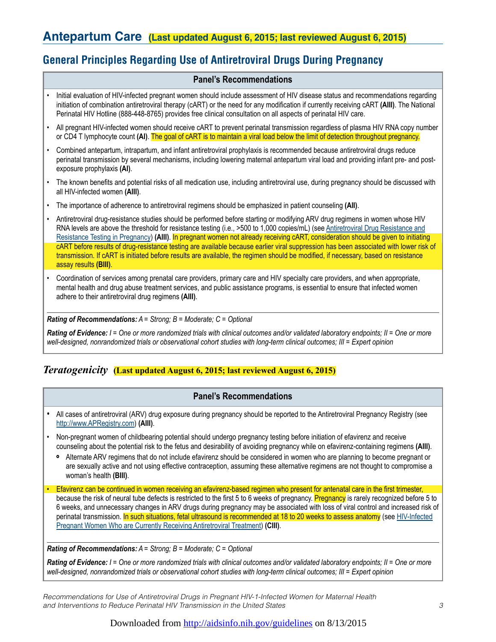# **General Principles Regarding Use of Antiretroviral Drugs During Pregnancy**

### **Panel's Recommendations**

- Initial evaluation of HIV-infected pregnant women should include assessment of HIV disease status and recommendations regarding initiation of combination antiretroviral therapy (cART) or the need for any modification if currently receiving cART **(AIII)**. The National Perinatal HIV Hotline (888-448-8765) provides free clinical consultation on all aspects of perinatal HIV care.
- All pregnant HIV-infected women should receive cART to prevent perinatal transmission regardless of plasma HIV RNA copy number or CD4 T lymphocyte count **(AI)**. The goal of cART is to maintain a viral load below the limit of detection throughout pregnancy.
- Combined antepartum, intrapartum, and infant antiretroviral prophylaxis is recommended because antiretroviral drugs reduce perinatal transmission by several mechanisms, including lowering maternal antepartum viral load and providing infant pre- and postexposure prophylaxis **(AI)**.
- The known benefits and potential risks of all medication use, including antiretroviral use, during pregnancy should be discussed with all HIV-infected women **(AIII)**.
- The importance of adherence to antiretroviral regimens should be emphasized in patient counseling **(AII)**.
- Antiretroviral drug-resistance studies should be performed before starting or modifying ARV drug regimens in women whose HIV RNA levels are above the threshold for resistance testing (i.e., >500 to 1,000 copies/mL) (see Antiretroviral Drug Resistance and Resistance Testing in Pregnancy) **(AIII)**. In pregnant women not already receiving cART, consideration should be given to initiating cART before results of drug-resistance testing are available because earlier viral suppression has been associated with lower risk of transmission. If cART is initiated before results are available, the regimen should be modified, if necessary, based on resistance assay results **(BIII)**.
- Coordination of services among prenatal care providers, primary care and HIV specialty care providers, and when appropriate, mental health and drug abuse treatment services, and public assistance programs, is essential to ensure that infected women adhere to their antiretroviral drug regimens **(AIII)**.

*Rating of Recommendations: A = Strong; B = Moderate; C = Optional*

*Rating of Evidence: I = One or more randomized trials with clinical outcomes and/or validated laboratory endpoints; II = One or more well-designed, nonrandomized trials or observational cohort studies with long-term clinical outcomes; III = Expert opinion*

### *Teratogenicity* **(Last updated August 6, 2015; last reviewed August 6, 2015)**

#### **Panel's Recommendations**

- All cases of antiretroviral (ARV) drug exposure during pregnancy should be reported to the Antiretroviral Pregnancy Registry (see http://www.APRegistry.com) **(AIII)**.
- Non-pregnant women of childbearing potential should undergo pregnancy testing before initiation of efavirenz and receive counseling about the potential risk to the fetus and desirability of avoiding pregnancy while on efavirenz-containing regimens **(AIII)**.
	- Alternate ARV regimens that do not include efavirenz should be considered in women who are planning to become pregnant or are sexually active and not using effective contraception, assuming these alternative regimens are not thought to compromise a woman's health **(BIII)**.
- Efavirenz can be continued in women receiving an efavirenz-based regimen who present for antenatal care in the first trimester, because the risk of neural tube defects is restricted to the first 5 to 6 weeks of pregnancy. Pregnancy is rarely recognized before 5 to 6 weeks, and unnecessary changes in ARV drugs during pregnancy may be associated with loss of viral control and increased risk of perinatal transmission. In such situations, fetal ultrasound is recommended at 18 to 20 weeks to assess anatomy (see HIV-Infected Pregnant Women Who are Currently Receiving Antiretroviral Treatment) **(CIII)**.

*Rating of Recommendations: A = Strong; B = Moderate; C = Optional*

*Rating of Evidence: I = One or more randomized trials with clinical outcomes and/or validated laboratory endpoints; II = One or more well-designed, nonrandomized trials or observational cohort studies with long-term clinical outcomes; III = Expert opinion*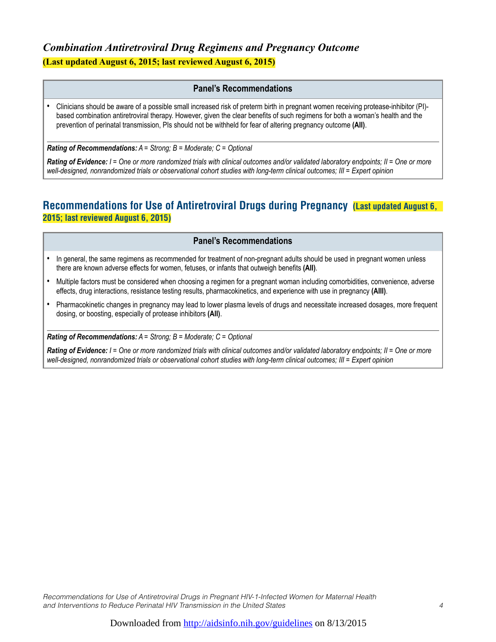# *Combination Antiretroviral Drug Regimens and Pregnancy Outcome* **(Last updated August 6, 2015; last reviewed August 6, 2015)**

#### **Panel's Recommendations**

• Clinicians should be aware of a possible small increased risk of preterm birth in pregnant women receiving protease-inhibitor (PI) based combination antiretroviral therapy. However, given the clear benefits of such regimens for both a woman's health and the prevention of perinatal transmission, PIs should not be withheld for fear of altering pregnancy outcome **(AII)**.

*Rating of Recommendations: A = Strong; B = Moderate; C = Optional*

*Rating of Evidence: I = One or more randomized trials with clinical outcomes and/or validated laboratory endpoints; II = One or more well-designed, nonrandomized trials or observational cohort studies with long-term clinical outcomes; III = Expert opinion*

### **Recommendations for Use of Antiretroviral Drugs during Pregnancy (Last updated August 6, 2015; last reviewed August 6, 2015)**

### **Panel's Recommendations**

- In general, the same regimens as recommended for treatment of non-pregnant adults should be used in pregnant women unless there are known adverse effects for women, fetuses, or infants that outweigh benefits **(AII)**.
- Multiple factors must be considered when choosing a regimen for a pregnant woman including comorbidities, convenience, adverse effects, drug interactions, resistance testing results, pharmacokinetics, and experience with use in pregnancy **(AIII)**.
- Pharmacokinetic changes in pregnancy may lead to lower plasma levels of drugs and necessitate increased dosages, more frequent dosing, or boosting, especially of protease inhibitors **(AII)**.

*Rating of Recommendations: A = Strong; B = Moderate; C = Optional*

*Rating of Evidence: I = One or more randomized trials with clinical outcomes and/or validated laboratory endpoints; II = One or more well-designed, nonrandomized trials or observational cohort studies with long-term clinical outcomes; III = Expert opinion*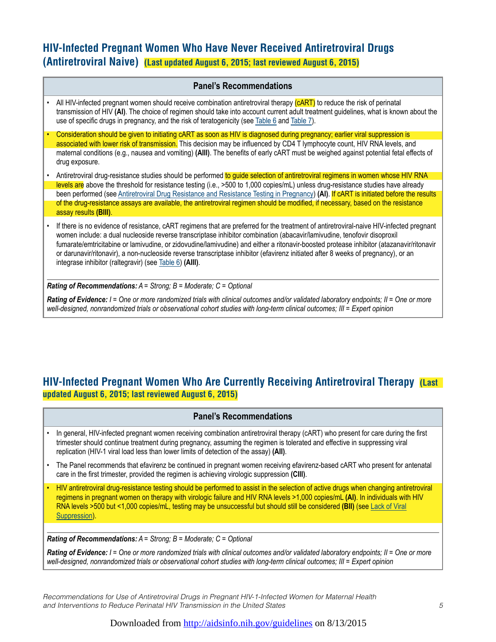# **HIV-Infected Pregnant Women Who Have Never Received Antiretroviral Drugs (Antiretroviral Naive) (Last updated August 6, 2015; last reviewed August 6, 2015)**

#### **Panel's Recommendations**

| All HIV-infected pregnant women should receive combination antiretroviral therapy ( <i>cART</i> ) to reduce the risk of perinatal<br>transmission of HIV (AI). The choice of regimen should take into account current adult treatment guidelines, what is known about the<br>use of specific drugs in pregnancy, and the risk of teratogenicity (see Table 6 and Table 7).                                                                                                                                                                                                                                    |
|---------------------------------------------------------------------------------------------------------------------------------------------------------------------------------------------------------------------------------------------------------------------------------------------------------------------------------------------------------------------------------------------------------------------------------------------------------------------------------------------------------------------------------------------------------------------------------------------------------------|
| Consideration should be given to initiating cART as soon as HIV is diagnosed during pregnancy; earlier viral suppression is                                                                                                                                                                                                                                                                                                                                                                                                                                                                                   |
| associated with lower risk of transmission. This decision may be influenced by CD4 T lymphocyte count, HIV RNA levels, and                                                                                                                                                                                                                                                                                                                                                                                                                                                                                    |
| maternal conditions (e.g., nausea and vomiting) (AIII). The benefits of early cART must be weighed against potential fetal effects of<br>drug exposure.                                                                                                                                                                                                                                                                                                                                                                                                                                                       |
| Antiretroviral drug-resistance studies should be performed to guide selection of antiretroviral regimens in women whose HIV RNA                                                                                                                                                                                                                                                                                                                                                                                                                                                                               |
| levels are above the threshold for resistance testing (i.e., $>500$ to 1,000 copies/mL) unless drug-resistance studies have already                                                                                                                                                                                                                                                                                                                                                                                                                                                                           |
| been performed (see Antiretroviral Drug Resistance and Resistance Testing in Pregnancy) (AI). If cART is initiated before the results                                                                                                                                                                                                                                                                                                                                                                                                                                                                         |
| of the drug-resistance assays are available, the antiretroviral regimen should be modified, if necessary, based on the resistance<br>assay results (BIII).                                                                                                                                                                                                                                                                                                                                                                                                                                                    |
| If there is no evidence of resistance, cART regimens that are preferred for the treatment of antiretroviral-naive HIV-infected pregnant<br>women include: a dual nucleoside reverse transcriptase inhibitor combination (abacavir/lamivudine, tenofovir disoproxil<br>fumarate/emtricitabine or lamivudine, or zidovudine/lamivudine) and either a ritonavir-boosted protease inhibitor (atazanavir/ritonavir<br>or darunavir/ritonavir), a non-nucleoside reverse transcriptase inhibitor (efavirenz initiated after 8 weeks of pregnancy), or an<br>integrase inhibitor (raltegravir) (see Table 6) (AIII). |

*Rating of Recommendations: A = Strong; B = Moderate; C = Optional*

*Rating of Evidence: I = One or more randomized trials with clinical outcomes and/or validated laboratory endpoints; II = One or more well-designed, nonrandomized trials or observational cohort studies with long-term clinical outcomes; III = Expert opinion*

# **HIV-Infected Pregnant Women Who Are Currently Receiving Antiretroviral Therapy (Last updated August 6, 2015; last reviewed August 6, 2015)**

### **Panel's Recommendations**

- In general, HIV-infected pregnant women receiving combination antiretroviral therapy (cART) who present for care during the first trimester should continue treatment during pregnancy, assuming the regimen is tolerated and effective in suppressing viral replication (HIV-1 viral load less than lower limits of detection of the assay) **(AII)**.
- The Panel recommends that efavirenz be continued in pregnant women receiving efavirenz-based cART who present for antenatal care in the first trimester, provided the regimen is achieving virologic suppression **(CIII)**.
- HIV antiretroviral drug-resistance testing should be performed to assist in the selection of active drugs when changing antiretroviral regimens in pregnant women on therapy with virologic failure and HIV RNA levels >1,000 copies/mL **(AI)**. In individuals with HIV RNA levels >500 but <1,000 copies/mL, testing may be unsuccessful but should still be considered **(BII)** (see Lack of Viral Suppression).

*Rating of Recommendations: A = Strong; B = Moderate; C = Optional*

*Rating of Evidence: I = One or more randomized trials with clinical outcomes and/or validated laboratory endpoints; II = One or more well-designed, nonrandomized trials or observational cohort studies with long-term clinical outcomes; III = Expert opinion*

*Recommendations for Use of Antiretroviral Drugs in Pregnant HIV-1-Infected Women for Maternal Health and Interventions to Reduce Perinatal HIV Transmission in the United States 5*

### Downloaded from http://aidsinfo.nih.gov/guidelines on 8/13/2015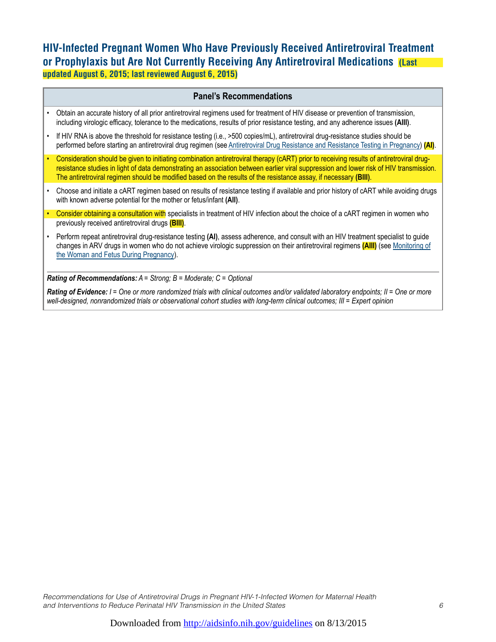# **HIV-Infected Pregnant Women Who Have Previously Received Antiretroviral Treatment or Prophylaxis but Are Not Currently Receiving Any Antiretroviral Medications (Last updated August 6, 2015; last reviewed August 6, 2015)**

#### **Panel's Recommendations**

- Obtain an accurate history of all prior antiretroviral regimens used for treatment of HIV disease or prevention of transmission, including virologic efficacy, tolerance to the medications, results of prior resistance testing, and any adherence issues **(AIII)**.
- If HIV RNA is above the threshold for resistance testing (i.e., >500 copies/mL), antiretroviral drug-resistance studies should be performed before starting an antiretroviral drug regimen (see Antiretroviral Drug Resistance and Resistance Testing in Pregnancy) **(AI)**.
- Consideration should be given to initiating combination antiretroviral therapy (cART) prior to receiving results of antiretroviral drugresistance studies in light of data demonstrating an association between earlier viral suppression and lower risk of HIV transmission. The antiretroviral regimen should be modified based on the results of the resistance assay, if necessary **(BIII)**.
- Choose and initiate a cART regimen based on results of resistance testing if available and prior history of cART while avoiding drugs with known adverse potential for the mother or fetus/infant **(AII)**.
- Consider obtaining a consultation with specialists in treatment of HIV infection about the choice of a cART regimen in women who previously received antiretroviral drugs **(BIII)**.
- Perform repeat antiretroviral drug-resistance testing **(AI)**, assess adherence, and consult with an HIV treatment specialist to guide changes in ARV drugs in women who do not achieve virologic suppression on their antiretroviral regimens **(AIII)** (see Monitoring of the Woman and Fetus During Pregnancy).

*Rating of Recommendations: A = Strong; B = Moderate; C = Optional*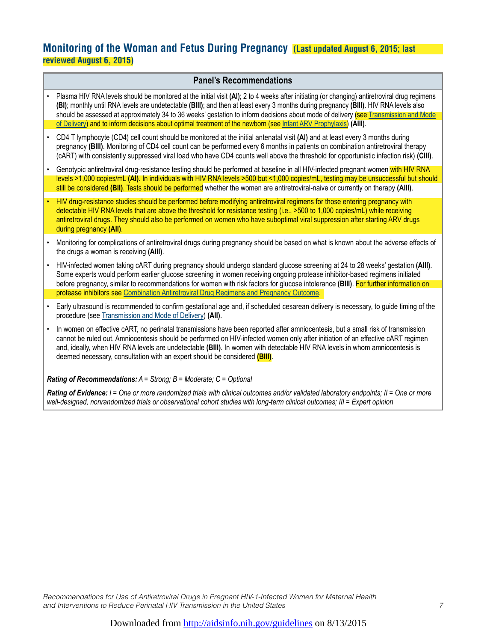### **Monitoring of the Woman and Fetus During Pregnancy (Last updated August 6, 2015; last reviewed August 6, 2015)**

#### **Panel's Recommendations**

| $\bullet$ | Plasma HIV RNA levels should be monitored at the initial visit (AI); 2 to 4 weeks after initiating (or changing) antiretroviral drug regimens<br>(BI); monthly until RNA levels are undetectable (BIII); and then at least every 3 months during pregnancy (BIII). HIV RNA levels also<br>should be assessed at approximately 34 to 36 weeks' gestation to inform decisions about mode of delivery (see Transmission and Mode |
|-----------|-------------------------------------------------------------------------------------------------------------------------------------------------------------------------------------------------------------------------------------------------------------------------------------------------------------------------------------------------------------------------------------------------------------------------------|
|           | of Delivery) and to inform decisions about optimal treatment of the newborn (see Infant ARV Prophylaxis) (AIII).                                                                                                                                                                                                                                                                                                              |
|           | • CD4 T lymphocyte (CD4) cell count should be monitored at the initial antenatal visit (AI) and at least every 3 months during<br>pregnancy (BIII). Monitoring of CD4 cell count can be performed every 6 months in patients on combination antiretroviral therapy<br>(cART) with consistently suppressed viral load who have CD4 counts well above the threshold for opportunistic infection risk) (CIII).                   |
|           | • Genotypic antiretroviral drug-resistance testing should be performed at baseline in all HIV-infected pregnant women with HIV RNA                                                                                                                                                                                                                                                                                            |
|           | levels >1,000 copies/mL (AI). In individuals with HIV RNA levels >500 but <1,000 copies/mL, testing may be unsuccessful but should<br>still be considered (BII). Tests should be performed whether the women are antiretroviral-naive or currently on therapy (AIII).                                                                                                                                                         |
| $\bullet$ | HIV drug-resistance studies should be performed before modifying antiretroviral regimens for those entering pregnancy with<br>detectable HIV RNA levels that are above the threshold for resistance testing (i.e., >500 to 1,000 copies/mL) while receiving<br>antiretroviral drugs. They should also be performed on women who have suboptimal viral suppression after starting ARV drugs<br>during pregnancy (All).         |
| $\bullet$ | Monitoring for complications of antiretroviral drugs during pregnancy should be based on what is known about the adverse effects of<br>the drugs a woman is receiving (AIII).                                                                                                                                                                                                                                                 |
| $\bullet$ | HIV-infected women taking cART during pregnancy should undergo standard glucose screening at 24 to 28 weeks' gestation (AIII).<br>Some experts would perform earlier glucose screening in women receiving ongoing protease inhibitor-based regimens initiated<br>before pregnancy, similar to recommendations for women with risk factors for glucose intolerance (BIII). For further information on                          |
|           | protease inhibitors see Combination Antiretroviral Drug Regimens and Pregnancy Outcome.                                                                                                                                                                                                                                                                                                                                       |

- Early ultrasound is recommended to confirm gestational age and, if scheduled cesarean delivery is necessary, to guide timing of the procedure (see Transmission and Mode of Delivery) **(AII)**.
- In women on effective cART, no perinatal transmissions have been reported after amniocentesis, but a small risk of transmission cannot be ruled out. Amniocentesis should be performed on HIV-infected women only after initiation of an effective cART regimen and, ideally, when HIV RNA levels are undetectable **(BIII)**. In women with detectable HIV RNA levels in whom amniocentesis is deemed necessary, consultation with an expert should be considered **(BIII)**.

*Rating of Recommendations: A = Strong; B = Moderate; C = Optional*

*Rating of Evidence: I = One or more randomized trials with clinical outcomes and/or validated laboratory endpoints; II = One or more well-designed, nonrandomized trials or observational cohort studies with long-term clinical outcomes; III = Expert opinion*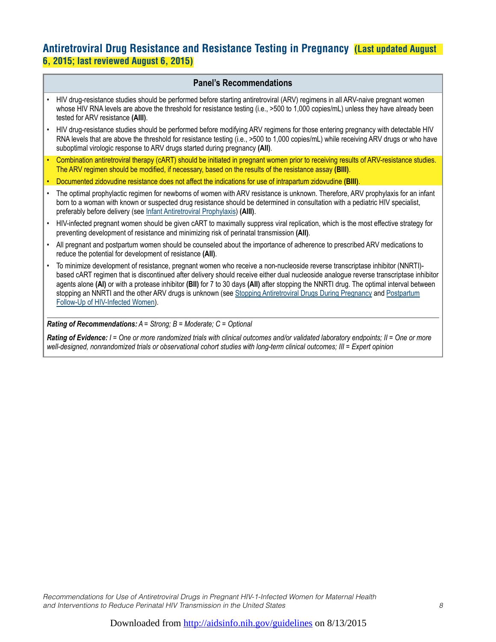# **Antiretroviral Drug Resistance and Resistance Testing in Pregnancy (Last updated August 6, 2015; last reviewed August 6, 2015)**

### **Panel's Recommendations**

- HIV drug-resistance studies should be performed before starting antiretroviral (ARV) regimens in all ARV-naive pregnant women whose HIV RNA levels are above the threshold for resistance testing (i.e., >500 to 1,000 copies/mL) unless they have already been tested for ARV resistance **(AIII)**.
- HIV drug-resistance studies should be performed before modifying ARV regimens for those entering pregnancy with detectable HIV RNA levels that are above the threshold for resistance testing (i.e., >500 to 1,000 copies/mL) while receiving ARV drugs or who have suboptimal virologic response to ARV drugs started during pregnancy **(AII)**.
- Combination antiretroviral therapy (cART) should be initiated in pregnant women prior to receiving results of ARV-resistance studies. The ARV regimen should be modified, if necessary, based on the results of the resistance assay **(BIII)**.
- Documented zidovudine resistance does not affect the indications for use of intrapartum zidovudine **(BIII)**.
- The optimal prophylactic regimen for newborns of women with ARV resistance is unknown. Therefore, ARV prophylaxis for an infant born to a woman with known or suspected drug resistance should be determined in consultation with a pediatric HIV specialist, preferably before delivery (see Infant Antiretroviral Prophylaxis) **(AIII)**.
- HIV-infected pregnant women should be given cART to maximally suppress viral replication, which is the most effective strategy for preventing development of resistance and minimizing risk of perinatal transmission **(AII)**.
- All pregnant and postpartum women should be counseled about the importance of adherence to prescribed ARV medications to reduce the potential for development of resistance **(AII)**.
- To minimize development of resistance, pregnant women who receive a non-nucleoside reverse transcriptase inhibitor (NNRTI) based cART regimen that is discontinued after delivery should receive either dual nucleoside analogue reverse transcriptase inhibitor agents alone **(AI)** or with a protease inhibitor **(BII)** for 7 to 30 days **(AII)** after stopping the NNRTI drug. The optimal interval between stopping an NNRTI and the other ARV drugs is unknown (see Stopping Antiretroviral Drugs During Pregnancy and Postpartum Follow-Up of HIV-Infected Women).

*Rating of Recommendations: A = Strong; B = Moderate; C = Optional*

*Rating of Evidence: I = One or more randomized trials with clinical outcomes and/or validated laboratory endpoints; II = One or more well-designed, nonrandomized trials or observational cohort studies with long-term clinical outcomes; III = Expert opinion*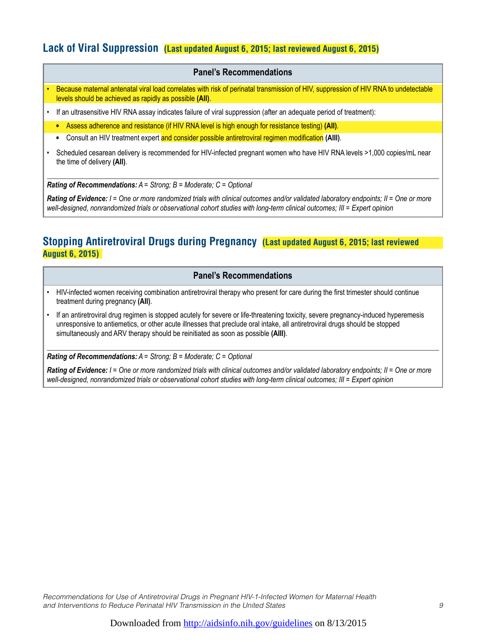### **Lack of Viral Suppression (Last updated August 6, 2015; last reviewed August 6, 2015)**

#### **Panel's Recommendations**

- Because maternal antenatal viral load correlates with risk of perinatal transmission of HIV, suppression of HIV RNA to undetectable levels should be achieved as rapidly as possible **(AII)**.
- If an ultrasensitive HIV RNA assay indicates failure of viral suppression (after an adequate period of treatment):
	- Assess adherence and resistance (if HIV RNA level is high enough for resistance testing) **(AII)**.
	- Consult an HIV treatment expert and consider possible antiretroviral regimen modification **(AIII)**.
- Scheduled cesarean delivery is recommended for HIV-infected pregnant women who have HIV RNA levels >1,000 copies/mL near the time of delivery **(AII)**.

*Rating of Recommendations: A = Strong; B = Moderate; C = Optional*

*Rating of Evidence: I = One or more randomized trials with clinical outcomes and/or validated laboratory endpoints; II = One or more well-designed, nonrandomized trials or observational cohort studies with long-term clinical outcomes; III = Expert opinion*

### **Stopping Antiretroviral Drugs during Pregnancy (Last updated August 6, 2015; last reviewed August 6, 2015)**

#### **Panel's Recommendations**

- HIV-infected women receiving combination antiretroviral therapy who present for care during the first trimester should continue treatment during pregnancy **(AII)**.
- If an antiretroviral drug regimen is stopped acutely for severe or life-threatening toxicity, severe pregnancy-induced hyperemesis unresponsive to antiemetics, or other acute illnesses that preclude oral intake, all antiretroviral drugs should be stopped simultaneously and ARV therapy should be reinitiated as soon as possible **(AIII)**.

*Rating of Recommendations: A = Strong; B = Moderate; C = Optional*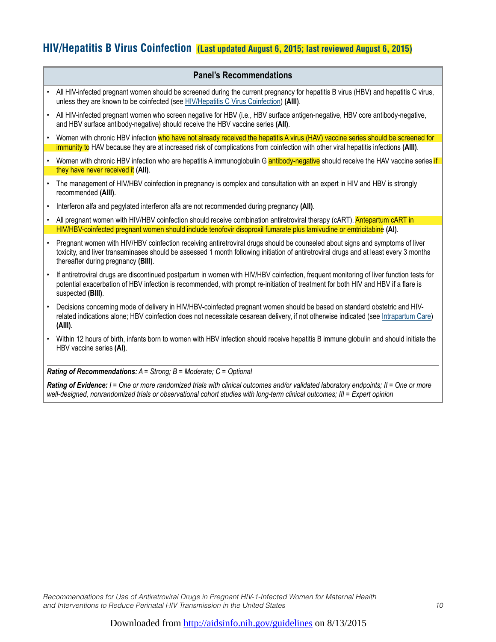### **HIV/Hepatitis B Virus Coinfection (Last updated August 6, 2015; last reviewed August 6, 2015)**

#### **Panel's Recommendations**

- All HIV-infected pregnant women should be screened during the current pregnancy for hepatitis B virus (HBV) and hepatitis C virus, unless they are known to be coinfected (see HIV/Hepatitis C Virus Coinfection) **(AIII)**.
- All HIV-infected pregnant women who screen negative for HBV (i.e., HBV surface antigen-negative, HBV core antibody-negative, and HBV surface antibody-negative) should receive the HBV vaccine series **(AII)**.
- Women with chronic HBV infection who have not already received the hepatitis A virus (HAV) vaccine series should be screened for immunity to HAV because they are at increased risk of complications from coinfection with other viral hepatitis infections **(AIII)**.
- Women with chronic HBV infection who are hepatitis A immunoglobulin G antibody-negative should receive the HAV vaccine series if they have never received it **(AII)**.
- The management of HIV/HBV coinfection in pregnancy is complex and consultation with an expert in HIV and HBV is strongly recommended **(AIII)**.
- Interferon alfa and pegylated interferon alfa are not recommended during pregnancy **(AII)**.
- All pregnant women with HIV/HBV coinfection should receive combination antiretroviral therapy (cART). Antepartum cART in HIV/HBV-coinfected pregnant women should include tenofovir disoproxil fumarate plus lamivudine or emtricitabine **(AI)**.
- Pregnant women with HIV/HBV coinfection receiving antiretroviral drugs should be counseled about signs and symptoms of liver toxicity, and liver transaminases should be assessed 1 month following initiation of antiretroviral drugs and at least every 3 months thereafter during pregnancy **(BIII)**.
- If antiretroviral drugs are discontinued postpartum in women with HIV/HBV coinfection, frequent monitoring of liver function tests for potential exacerbation of HBV infection is recommended, with prompt re-initiation of treatment for both HIV and HBV if a flare is suspected **(BIII)**.
- Decisions concerning mode of delivery in HIV/HBV-coinfected pregnant women should be based on standard obstetric and HIVrelated indications alone; HBV coinfection does not necessitate cesarean delivery, if not otherwise indicated (see Intrapartum Care) **(AIII)**.
- Within 12 hours of birth, infants born to women with HBV infection should receive hepatitis B immune globulin and should initiate the HBV vaccine series **(AI)**.

*Rating of Recommendations: A = Strong; B = Moderate; C = Optional*

*Rating of Evidence: I = One or more randomized trials with clinical outcomes and/or validated laboratory endpoints; II = One or more well-designed, nonrandomized trials or observational cohort studies with long-term clinical outcomes; III = Expert opinion*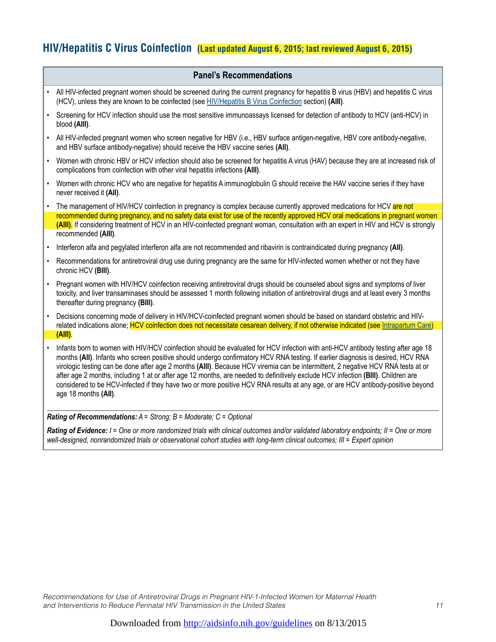# **HIV/Hepatitis C Virus Coinfection (Last updated August 6, 2015; last reviewed August 6, 2015)**

#### **Panel's Recommendations**

- All HIV-infected pregnant women should be screened during the current pregnancy for hepatitis B virus (HBV) and hepatitis C virus (HCV), unless they are known to be coinfected (see HIV/Hepatitis B Virus Coinfection section) **(AIII)**.
- Screening for HCV infection should use the most sensitive immunoassays licensed for detection of antibody to HCV (anti-HCV) in blood **(AIII)**.
- All HIV-infected pregnant women who screen negative for HBV (i.e., HBV surface antigen-negative, HBV core antibody-negative, and HBV surface antibody-negative) should receive the HBV vaccine series **(AII)**.
- Women with chronic HBV or HCV infection should also be screened for hepatitis A virus (HAV) because they are at increased risk of complications from coinfection with other viral hepatitis infections **(AIII)**.
- Women with chronic HCV who are negative for hepatitis A immunoglobulin G should receive the HAV vaccine series if they have never received it **(AII)**.
- The management of HIV/HCV coinfection in pregnancy is complex because currently approved medications for HCV are not recommended during pregnancy, and no safety data exist for use of the recently approved HCV oral medications in pregnant women **(AIII)**. If considering treatment of HCV in an HIV-coinfected pregnant woman, consultation with an expert in HIV and HCV is strongly recommended **(AIII)**.
- Interferon alfa and pegylated interferon alfa are not recommended and ribavirin is contraindicated during pregnancy **(AII)**.
- Recommendations for antiretroviral drug use during pregnancy are the same for HIV-infected women whether or not they have chronic HCV **(BIII)**.
- Pregnant women with HIV/HCV coinfection receiving antiretroviral drugs should be counseled about signs and symptoms of liver toxicity, and liver transaminases should be assessed 1 month following initiation of antiretroviral drugs and at least every 3 months thereafter during pregnancy **(BIII)**.
- Decisions concerning mode of delivery in HIV/HCV-coinfected pregnant women should be based on standard obstetric and HIVrelated indications alone; HCV coinfection does not necessitate cesarean delivery, if not otherwise indicated (see Intrapartum Care) **(AIII)**.
- Infants born to women with HIV/HCV coinfection should be evaluated for HCV infection with anti-HCV antibody testing after age 18 months **(AII)**. Infants who screen positive should undergo confirmatory HCV RNA testing. If earlier diagnosis is desired, HCV RNA virologic testing can be done after age 2 months **(AIII)**. Because HCV viremia can be intermittent, 2 negative HCV RNA tests at or after age 2 months, including 1 at or after age 12 months, are needed to definitively exclude HCV infection **(BIII)**. Children are considered to be HCV-infected if they have two or more positive HCV RNA results at any age, or are HCV antibody-positive beyond age 18 months **(AII)**.

#### *Rating of Recommendations: A = Strong; B = Moderate; C = Optional*

*Rating of Evidence: I = One or more randomized trials with clinical outcomes and/or validated laboratory endpoints; II = One or more well-designed, nonrandomized trials or observational cohort studies with long-term clinical outcomes; III = Expert opinion*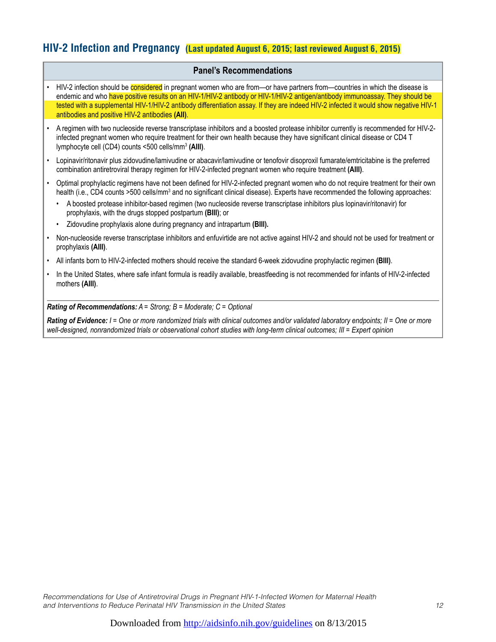### **HIV-2 Infection and Pregnancy (Last updated August 6, 2015; last reviewed August 6, 2015)**

#### **Panel's Recommendations**

- HIV-2 infection should be considered in pregnant women who are from—or have partners from—countries in which the disease is endemic and who have positive results on an HIV-1/HIV-2 antibody or HIV-1/HIV-2 antigen/antibody immunoassay. They should be tested with a supplemental HIV-1/HIV-2 antibody differentiation assay. If they are indeed HIV-2 infected it would show negative HIV-1 antibodies and positive HIV-2 antibodies **(AII)**.
- A regimen with two nucleoside reverse transcriptase inhibitors and a boosted protease inhibitor currently is recommended for HIV-2 infected pregnant women who require treatment for their own health because they have significant clinical disease or CD4 T lymphocyte cell (CD4) counts <500 cells/mm3 **(AIII)**.
- Lopinavir/ritonavir plus zidovudine/lamivudine or abacavir/lamivudine or tenofovir disoproxil fumarate/emtricitabine is the preferred combination antiretroviral therapy regimen for HIV-2-infected pregnant women who require treatment **(AIII)**.
- Optimal prophylactic regimens have not been defined for HIV-2-infected pregnant women who do not require treatment for their own health (i.e., CD4 counts >500 cells/mm<sup>3</sup> and no significant clinical disease). Experts have recommended the following approaches:
	- A boosted protease inhibitor-based regimen (two nucleoside reverse transcriptase inhibitors plus lopinavir/ritonavir) for prophylaxis, with the drugs stopped postpartum **(BIII)**; or
	- Zidovudine prophylaxis alone during pregnancy and intrapartum **(BIII).**
- Non-nucleoside reverse transcriptase inhibitors and enfuvirtide are not active against HIV-2 and should not be used for treatment or prophylaxis **(AIII)**.
- All infants born to HIV-2-infected mothers should receive the standard 6-week zidovudine prophylactic regimen **(BIII)**.
- In the United States, where safe infant formula is readily available, breastfeeding is not recommended for infants of HIV-2-infected mothers **(AIII)**.

#### *Rating of Recommendations: A = Strong; B = Moderate; C = Optional*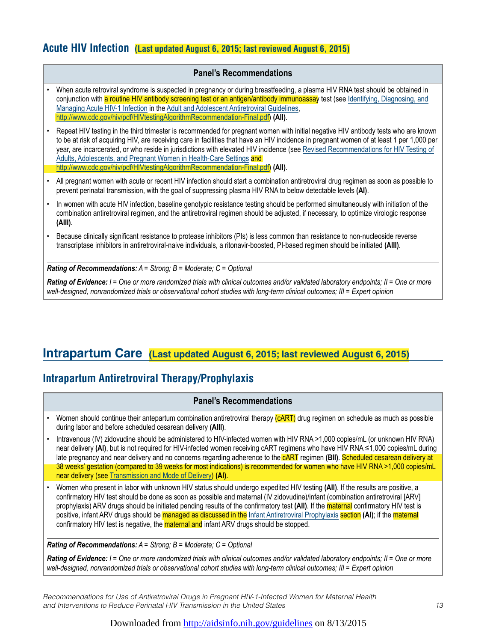### **Acute HIV Infection (Last updated August 6, 2015; last reviewed August 6, 2015)**

#### **Panel's Recommendations**

- When acute retroviral syndrome is suspected in pregnancy or during breastfeeding, a plasma HIV RNA test should be obtained in conjunction with a routine HIV antibody screening test or an antigen/antibody immunoassay test (see Identifying, Diagnosing, and Managing Acute HIV-1 Infection in the Adult and Adolescent Antiretroviral Guidelines, http://www.cdc.gov/hiv/pdf/HIVtestingAlgorithmRecommendation-Final.pdf) **(AII)**.
- Repeat HIV testing in the third trimester is recommended for pregnant women with initial negative HIV antibody tests who are known to be at risk of acquiring HIV, are receiving care in facilities that have an HIV incidence in pregnant women of at least 1 per 1,000 per year, are incarcerated, or who reside in jurisdictions with elevated HIV incidence (see Revised Recommendations for HIV Testing of Adults, Adolescents, and Pregnant Women in Health-Care Settings and http://www.cdc.gov/hiv/pdf/HIVtestingAlgorithmRecommendation-Final.pdf) **(AII)**.
- All pregnant women with acute or recent HIV infection should start a combination antiretroviral drug regimen as soon as possible to prevent perinatal transmission, with the goal of suppressing plasma HIV RNA to below detectable levels **(AI)**.
- In women with acute HIV infection, baseline genotypic resistance testing should be performed simultaneously with initiation of the combination antiretroviral regimen, and the antiretroviral regimen should be adjusted, if necessary, to optimize virologic response **(AIII)**.
- Because clinically significant resistance to protease inhibitors (PIs) is less common than resistance to non-nucleoside reverse transcriptase inhibitors in antiretroviral-naive individuals, a ritonavir-boosted, PI-based regimen should be initiated **(AIII)**.

*Rating of Recommendations: A = Strong; B = Moderate; C = Optional*

*Rating of Evidence: I = One or more randomized trials with clinical outcomes and/or validated laboratory endpoints; II = One or more well-designed, nonrandomized trials or observational cohort studies with long-term clinical outcomes; III = Expert opinion*

### **Intrapartum Care (Last updated August 6, 2015; last reviewed August 6, 2015)**

# **Intrapartum Antiretroviral Therapy/Prophylaxis**

#### **Panel's Recommendations**

- Women should continue their antepartum combination antiretroviral therapy (cART) drug regimen on schedule as much as possible during labor and before scheduled cesarean delivery **(AIII)**.
- Intravenous (IV) zidovudine should be administered to HIV-infected women with HIV RNA >1,000 copies/mL (or unknown HIV RNA) near delivery (AI), but is not required for HIV-infected women receiving cART regimens who have HIV RNA ≤1,000 copies/mL during late pregnancy and near delivery and no concerns regarding adherence to the **CART** regimen **(BII)**. Scheduled cesarean delivery at 38 weeks' gestation (compared to 39 weeks for most indications) is recommended for women who have HIV RNA >1,000 copies/mL near delivery (see Transmission and Mode of Delivery) **(AI)**.
- Women who present in labor with unknown HIV status should undergo expedited HIV testing **(AII)**. If the results are positive, a confirmatory HIV test should be done as soon as possible and maternal (IV zidovudine)/infant (combination antiretroviral [ARV] prophylaxis) ARV drugs should be initiated pending results of the confirmatory test **(AII)**. If the maternal confirmatory HIV test is positive, infant ARV drugs should be managed as discussed in the Infant Antiretroviral Prophylaxis section **(AI)**; if the maternal confirmatory HIV test is negative, the **maternal and** infant ARV drugs should be stopped.

*Rating of Recommendations: A = Strong; B = Moderate; C = Optional*

*Rating of Evidence: I = One or more randomized trials with clinical outcomes and/or validated laboratory endpoints; II = One or more well-designed, nonrandomized trials or observational cohort studies with long-term clinical outcomes; III = Expert opinion*

*Recommendations for Use of Antiretroviral Drugs in Pregnant HIV-1-Infected Women for Maternal Health and Interventions to Reduce Perinatal HIV Transmission in the United States 13*

### Downloaded from http://aidsinfo.nih.gov/guidelines on 8/13/2015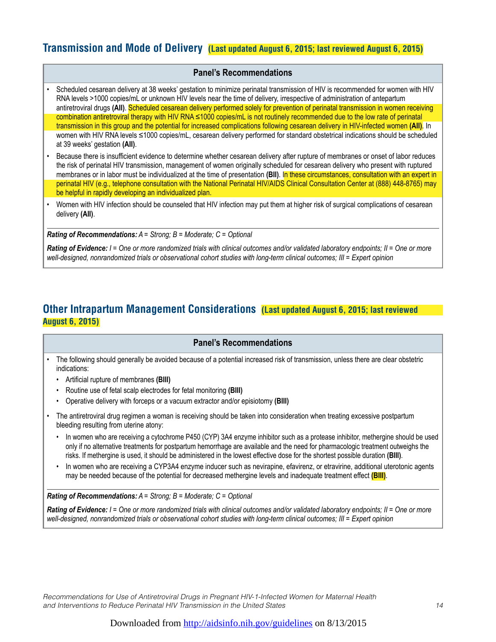### **Transmission and Mode of Delivery (Last updated August 6, 2015; last reviewed August 6, 2015)**

#### **Panel's Recommendations**

- Scheduled cesarean delivery at 38 weeks' gestation to minimize perinatal transmission of HIV is recommended for women with HIV RNA levels >1000 copies/mL or unknown HIV levels near the time of delivery, irrespective of administration of antepartum antiretroviral drugs **(AII)**. Scheduled cesarean delivery performed solely for prevention of perinatal transmission in women receiving combination antiretroviral therapy with HIV RNA ≤1000 copies/mL is not routinely recommended due to the low rate of perinatal transmission in this group and the potential for increased complications following cesarean delivery in HIV-infected women **(AII)**. In women with HIV RNA levels ≤1000 copies/mL, cesarean delivery performed for standard obstetrical indications should be scheduled at 39 weeks' gestation **(AII)**.
- Because there is insufficient evidence to determine whether cesarean delivery after rupture of membranes or onset of labor reduces the risk of perinatal HIV transmission, management of women originally scheduled for cesarean delivery who present with ruptured membranes or in labor must be individualized at the time of presentation **(BII)**. In these circumstances, consultation with an expert in perinatal HIV (e.g., telephone consultation with the National Perinatal HIV/AIDS Clinical Consultation Center at (888) 448-8765) may be helpful in rapidly developing an individualized plan.
- Women with HIV infection should be counseled that HIV infection may put them at higher risk of surgical complications of cesarean delivery **(AII)**.

*Rating of Recommendations: A = Strong; B = Moderate; C = Optional*

*Rating of Evidence: I = One or more randomized trials with clinical outcomes and/or validated laboratory endpoints; II = One or more well-designed, nonrandomized trials or observational cohort studies with long-term clinical outcomes; III = Expert opinion*

### **Other Intrapartum Management Considerations (Last updated August 6, 2015; last reviewed August 6, 2015)**

#### **Panel's Recommendations**

- The following should generally be avoided because of a potential increased risk of transmission, unless there are clear obstetric indications:
	- Artificial rupture of membranes **(BIII)**
	- Routine use of fetal scalp electrodes for fetal monitoring **(BIII)**
	- Operative delivery with forceps or a vacuum extractor and/or episiotomy **(BIII)**
- The antiretroviral drug regimen a woman is receiving should be taken into consideration when treating excessive postpartum bleeding resulting from uterine atony:
	- In women who are receiving a cytochrome P450 (CYP) 3A4 enzyme inhibitor such as a protease inhibitor, methergine should be used only if no alternative treatments for postpartum hemorrhage are available and the need for pharmacologic treatment outweighs the risks. If methergine is used, it should be administered in the lowest effective dose for the shortest possible duration **(BIII)**.
	- In women who are receiving a CYP3A4 enzyme inducer such as nevirapine, efavirenz, or etravirine, additional uterotonic agents may be needed because of the potential for decreased methergine levels and inadequate treatment effect **(BIII)**.

*Rating of Recommendations: A = Strong; B = Moderate; C = Optional*

*Rating of Evidence: I = One or more randomized trials with clinical outcomes and/or validated laboratory endpoints; II = One or more well-designed, nonrandomized trials or observational cohort studies with long-term clinical outcomes; III = Expert opinion*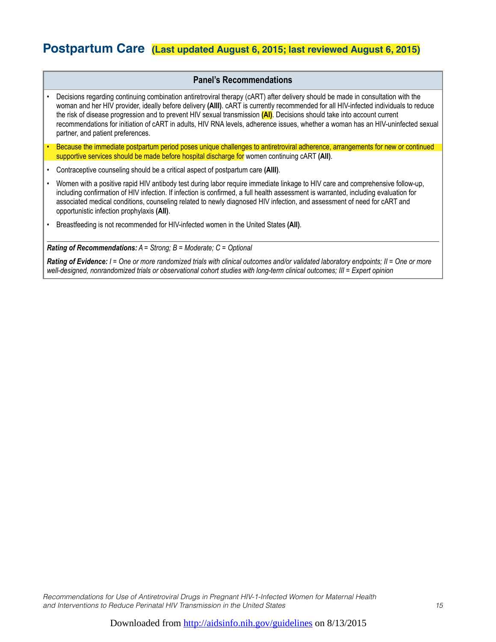# **Postpartum Care (Last updated August 6, 2015; last reviewed August 6, 2015)**

#### **Panel's Recommendations**

- Decisions regarding continuing combination antiretroviral therapy (cART) after delivery should be made in consultation with the woman and her HIV provider, ideally before delivery **(AIII)**. cART is currently recommended for all HIV-infected individuals to reduce the risk of disease progression and to prevent HIV sexual transmission **(AI)**. Decisions should take into account current recommendations for initiation of cART in adults, HIV RNA levels, adherence issues, whether a woman has an HIV-uninfected sexual partner, and patient preferences.
- Because the immediate postpartum period poses unique challenges to antiretroviral adherence, arrangements for new or continued supportive services should be made before hospital discharge for women continuing cART **(AII)**.
- Contraceptive counseling should be a critical aspect of postpartum care **(AIII)**.
- Women with a positive rapid HIV antibody test during labor require immediate linkage to HIV care and comprehensive follow-up, including confirmation of HIV infection. If infection is confirmed, a full health assessment is warranted, including evaluation for associated medical conditions, counseling related to newly diagnosed HIV infection, and assessment of need for cART and opportunistic infection prophylaxis **(AII)**.
- Breastfeeding is not recommended for HIV-infected women in the United States **(AII)**.

*Rating of Recommendations: A = Strong; B = Moderate; C = Optional*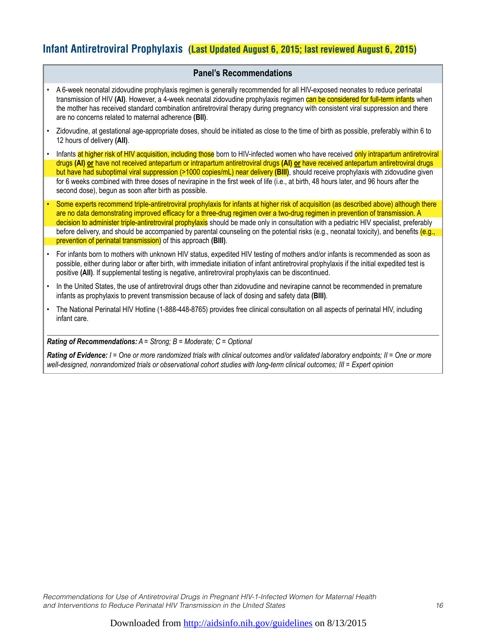# **Infant Antiretroviral Prophylaxis (Last Updated August 6, 2015; last reviewed August 6, 2015)**

#### **Panel's Recommendations**

- A 6-week neonatal zidovudine prophylaxis regimen is generally recommended for all HIV-exposed neonates to reduce perinatal transmission of HIV (AI). However, a 4-week neonatal zidovudine prophylaxis regimen can be considered for full-term infants when the mother has received standard combination antiretroviral therapy during pregnancy with consistent viral suppression and there are no concerns related to maternal adherence **(BII)**.
- Zidovudine, at gestational age-appropriate doses, should be initiated as close to the time of birth as possible, preferably within 6 to 12 hours of delivery **(AII)**.
- Infants at higher risk of HIV acquisition, including those born to HIV-infected women who have received only intrapartum antiretroviral drugs **(AI) or** have not received antepartum or intrapartum antiretroviral drugs **(AI) or** have received antepartum antiretroviral drugs but have had suboptimal viral suppression (>1000 copies/mL) near delivery **(BIII)**, should receive prophylaxis with zidovudine given for 6 weeks combined with three doses of nevirapine in the first week of life (i.e., at birth, 48 hours later, and 96 hours after the second dose), begun as soon after birth as possible.
- Some experts recommend triple-antiretroviral prophylaxis for infants at higher risk of acquisition (as described above) although there are no data demonstrating improved efficacy for a three-drug regimen over a two-drug regimen in prevention of transmission. A decision to administer triple-antiretroviral prophylaxis should be made only in consultation with a pediatric HIV specialist, preferably before delivery, and should be accompanied by parental counseling on the potential risks (e.g., neonatal toxicity), and benefits (e.g., prevention of perinatal transmission) of this approach **(BIII)**.
- For infants born to mothers with unknown HIV status, expedited HIV testing of mothers and/or infants is recommended as soon as possible, either during labor or after birth, with immediate initiation of infant antiretroviral prophylaxis if the initial expedited test is positive **(AII)**. If supplemental testing is negative, antiretroviral prophylaxis can be discontinued.
- In the United States, the use of antiretroviral drugs other than zidovudine and nevirapine cannot be recommended in premature infants as prophylaxis to prevent transmission because of lack of dosing and safety data **(BIII)**.
- The National Perinatal HIV Hotline (1-888-448-8765) provides free clinical consultation on all aspects of perinatal HIV, including infant care.

*Rating of Recommendations: A = Strong; B = Moderate; C = Optional*

*Rating of Evidence: I = One or more randomized trials with clinical outcomes and/or validated laboratory endpoints; II = One or more well-designed, nonrandomized trials or observational cohort studies with long-term clinical outcomes; III = Expert opinion*